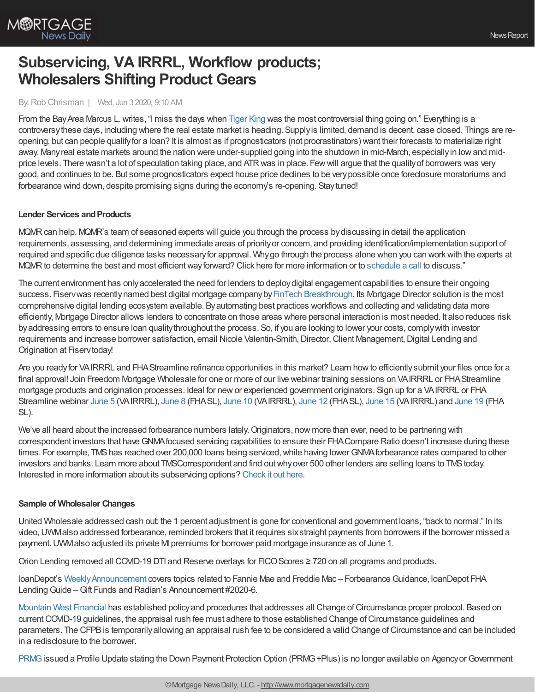

# **Subservicing, VA IRRRL, Workflow products; Wholesalers Shifting Product Gears**

### By:Rob Chrisman | Wed, Jun 3 2020, 9:10 AM

From the Bay Area Marcus L. writes, "I miss the days when [Tiger](https://www.foxnews.com/entertainment/tiger-king-carole-baskin-granted-control-joe-exotic-oklahoma-zoo-properties) King was the most controversial thing going on." Everything is a controversythese days, including where the real estate market is heading. Supplyis limited, demand is decent, case closed. Things are reopening, but can people qualifyfor a loan? It is almost as if prognosticators (not procrastinators) want their forecasts to materialize right away. Manyreal estate markets around the nation were under-supplied going into the shutdown in mid-March, especiallyin lowand midprice levels. There wasn't a lot of speculation taking place, and ATRwas in place. Fewwill argue that the qualityof borrowers was very good, and continues to be. But some prognosticators expect house price declines to be verypossible once foreclosure moratoriums and forbearance wind down, despite promising signs during the economy's re-opening. Staytuned!

### **Lender Services and Products**

MQMRcan help. MQMR's team of seasoned experts will guide you through the process bydiscussing in detail the application requirements, assessing, and determining immediate areas of priorityor concern, and providing identification/implementation support of required and specific due diligence tasks necessaryfor approval. Whygo through the process alone when you can workwith the experts at MQMR to determine the best and most efficient way forward? Click here for more information or to [schedule](https://meetings.hubspot.com/kschnieders/book-a-meeting-with-mqmr?__hstc=112067035.37b68ae0f45dcbd8c319b79cc748d1f0.1552489429284.1588898526627.1589209017852.536&__hssc=112067035.3.1589209017852&__hsfp=946197843) a call to discuss."

The current environment has onlyaccelerated the need for lenders to deploydigital engagement capabilities to ensure their ongoing success. Fiservwas recentlynamed best digital mortgage company by FinTech [Breakthrough.](https://newsroom.fiserv.com/news-releases/news-release-details/fiserv-named-best-digital-mortgage-company-2020-fintech) Its Mortgage Director solution is the most comprehensive digital lending ecosystem available. Byautomating best practices workflows and collecting and validating data more efficiently, Mortgage Director allows lenders to concentrate on those areas where personal interaction is most needed. It also reduces risk byaddressing errors to ensure loan qualitythroughout the process. So, if you are looking to lower your costs, complywith investor requirements and increase borrower satisfaction, email Nicole Valentin-Smith, Director, Client Management, Digital Lending and Origination at Fiserv today!

Are you ready for VAIRRRL and FHA Streamline refinance opportunities in this market? Learn how to efficiently submit your files once for a final approval! Join Freedom Mortgage Wholesale for one or more of our live webinar training sessions on VAIRRRL or FHAStreamline mortgage products and origination processes. Ideal for newor experienced government originators. Sign up for a VAIRRRL or FHA Streamline webinar [June](https://freedom.zoom.us/meeting/register/tJcudOusqDMtHNyY3JNkgCKgRY8Alr3-qyRJ) 5 (VAIRRRL), [June](https://freedom.zoom.us/meeting/register/tJcpcOuprzkjHNQLgqdoCTX53L4jVstQAOyT) 8 (FHASL), [June](https://freedom.zoom.us/meeting/register/tJIqd-ChpzgsG9Ct7ltdNK-aLcFAXmyHOayR) 10 (VAIRRRL), [June](https://freedom.zoom.us/meeting/register/tJYodeygqT8pEt3_vhXPZwC0KrqjKvcWQHPU) 12 (FHASL), [June](https://freedom.zoom.us/meeting/register/tJMpceyprD4jGNN7E8L5uoQ7tgR8SC7BNoxK) 15 (VAIRRRL) and [June](https://freedom.zoom.us/meeting/register/tJYsduGgpj4oGNLrqZ67CUcrWXCUbZ0-GD5n) 19 (FHA SL).

We've all heard about the increased forbearance numbers lately.Originators, now more than ever, need to be partnering with correspondent investors that haveGNMAfocused servicing capabilities to ensure their FHACompare Ratio doesn't increase during these times. For example, TMS has reached over 200,000 loans being serviced, while having lower GNMA forbearance rates compared to other investors and banks. Learn more about TMSCorrespondent and find outwhyover 500 other lenders are selling loans to TMStoday. Interested in more information about its subservicing options? [Check](https://subservicing.themoneysource.com/) it out here.

### **Sample of Wholesaler Changes**

United Wholesale addressed cash out: the 1 percent adjustment is gone for conventional and government loans, "back to normal." In its video,UWMalso addressed forbearance, reminded brokers that it requires sixstraight payments from borrowers if the borrower missed a payment.UWMalso adjusted its private MI premiums for borrower paid mortgage insurance as of June 1.

Orion Lending removed all COVID-19 DTI and Reserve overlays for FICOScores ≥ 720 on all programs and products.

loanDepot's Weekly Announcement covers topics related to Fannie Mae and Freddie Mac – Forbearance Guidance, loanDepot FHA Lending Guide – Gift Funds and Radian's Announcement #2020-6.

[Mountain](http://www.mwfinc.com/) West Financial has established policy and procedures that addresses all Change of Circumstance proper protocol. Based on current COVID-19 guidelines, the appraisal rush fee must adhere to those established Change of Circumstance guidelines and parameters. The CFPB is temporarily allowing an appraisal rush fee to be considered a valid Change of Circumstance and can be included in a redisclosure to the borrower.

[PRMG](https://www.prmg.net/explore-loan-products/) issued a Profile Update stating the Down Payment Protection Option (PRMG+Plus) is no longer available on Agency or Government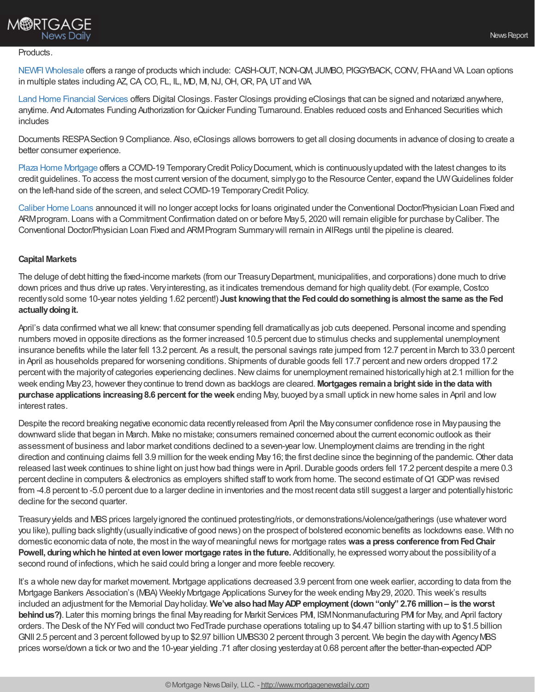## **M®RTGAGE News Daily**

#### Products.

NEWFI [Wholesale](https://newfiwholesale.com/wholesale-loan-programs-2/) offers a range of products which include: CASH-OUT, NON-QM, JUMBO, PIGGYBACK, CONV, FHA and VA Loan options in multiple states including AZ, CA, CO, FL, IL, MD, MI, NJ, OH, OR, PA, UT and WA.

Land Home [Financial](https://wholesale.lhfs.com/) Services offers Digital Closings. Faster Closings providing eClosings that can be signed and notarized anywhere, anytime. And Automates Funding Authorization for Quicker Funding Turnaround. Enables reduced costs and Enhanced Securities which includes

Documents RESPASection 9 Compliance. Also, eClosings allows borrowers to get all closing documents in advance of closing to create a better consumer experience.

Plaza Home [Mortgage](https://www.plazahomemortgage.com/becomeabroker/) offers a COVID-19 Temporary Credit Policy Document, which is continuously updated with the latest changes to its credit guidelines. To access the most current version of the document, simplygo to the Resource Center, expand the UWGuidelines folder on the left-hand side of the screen, and selectCOVID-19 TemporaryCredit Policy.

[Caliber](https://www.caliberhomeloans.com/loans-and-programs/) Home Loans announced itwill no longer accept locks for loans originated under the Conventional Doctor/Physician Loan Fixed and ARM program. Loans with a Commitment Confirmation dated on or before May 5, 2020 will remain eligible for purchase by Caliber. The Conventional Doctor/Physician Loan Fixed and ARMProgram Summarywill remain in AllRegs until the pipeline is cleared.

### **Capital Markets**

The deluge of debt hitting the fixed-income markets (from our TreasuryDepartment, municipalities, and corporations) done much to drive down prices and thus drive up rates. Very interesting, as it indicates tremendous demand for high quality debt. (For example, Costco recentlysold some 10-year notes yielding 1.62 percent!) **Just knowingthat the Fedcoulddosomethingis almost the same as the Fed** actually doing it.

April's data confirmed what we all knew: that consumer spending fell dramatically as job cuts deepened. Personal income and spending numbers moved in opposite directions as the former increased 10.5 percent due to stimulus checks and supplemental unemployment insurance benefits while the later fell 13.2 percent. As a result, the personal savings rate jumped from 12.7 percent in March to 33.0 percent in April as households prepared for worsening conditions. Shipments of durable goods fell 17.7 percent and neworders dropped 17.2 percent with the majority of categories experiencing declines. New claims for unemployment remained historically high at 2.1 million for the week ending May23, however theycontinue to trend down as backlogs are cleared. **Mortgages remaina bright side inthe datawith purchase applications increasing8.6 percent for theweek** ending May, buoyed bya small uptick in newhome sales in April and low interest rates.

Despite the record breaking negative economic data recentlyreleased from April the Mayconsumer confidence rose in Maypausing the downward slide that began in March. Make no mistake; consumers remained concerned about the current economic outlook as their assessment of business and labor market conditions declined to a seven-year low.Unemployment claims are trending in the right direction and continuing claims fell 3.9 million for the week ending May 16; the first decline since the beginning of the pandemic. Other data released last week continues to shine light on just how bad things were in April. Durable goods orders fell 17.2 percent despite a mere 0.3 percent decline in computers & electronics as employers shifted staff to work from home. The second estimate of Q1 GDP was revised from -4.8 percent to -5.0 percent due to a larger decline in inventories and the most recent data still suggest a larger and potentiallyhistoric decline for the second quarter.

Treasury yields and MBS prices largely ignored the continued protesting/riots, or demonstrations/violence/gatherings (use whatever word you like), pulling back slightly(usuallyindicative of good news) on the prospect of bolstered economic benefits as lockdowns ease. With no domestic economic data of note, the most in the wayof meaningful news for mortgage rates **was a press conference fromFedChair Powell, duringwhichhe hintedat evenlower mortgage rates inthe future.** Additionally, he expressed worryabout the possibilityof a second round of infections,which he said could bring a longer and more feeble recovery.

It's a whole new day for market movement. Mortgage applications decreased 3.9 percent from one week earlier, according to data from the Mortgage Bankers Association's (MBA) WeeklyMortgage Applications Surveyfor the week ending May29, 2020. This week's results included an adjustment for the Memorial Dayholiday. **We've alsohadMayADPemployment (down"only" 2.76 million– is theworst behindus?)**. Later this morning brings the final Mayreading for Markit Services PMI, ISMNonmanufacturing PMI for May, and April factory orders. The Desk of the NYFed will conduct two FedTrade purchase operations totaling up to \$4.47 billion starting with up to \$1.5 billion GNII 2.5 percent and 3 percent followed byup to \$2.97 billion UMBS30 2 percent through 3 percent. We begin the daywith AgencyMBS prices worse/down a tick or two and the 10-year yielding .71 after closing yesterdayat 0.68 percent after the better-than-expected ADP